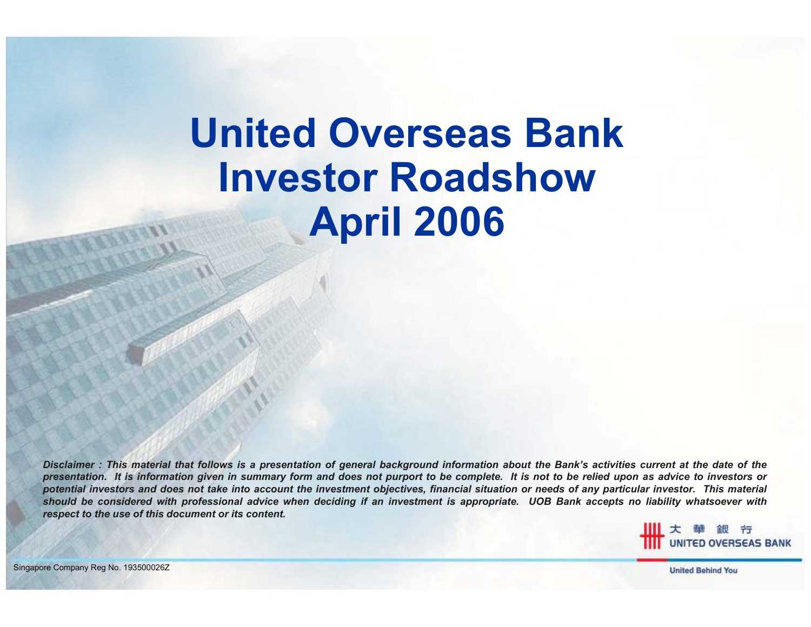# United Overseas BankInvestor RoadshowApril 2006

Disclaimer : This material that follows is a presentation of general background information about the Bank's activities current at the date of the presentation. It is information given in summary form and does not purport to be complete. It is not to be relied upon as advice to investors or potential investors and does not take into account the investment objectives, financial situation or needs of any particular investor. This material should be considered with professional advice when deciding if an investment is appropriate. UOB Bank accepts no liability whatsoever with respect to the use of this document or its content.



1Singapore Company Reg No. 193500026Z

**United Behind You**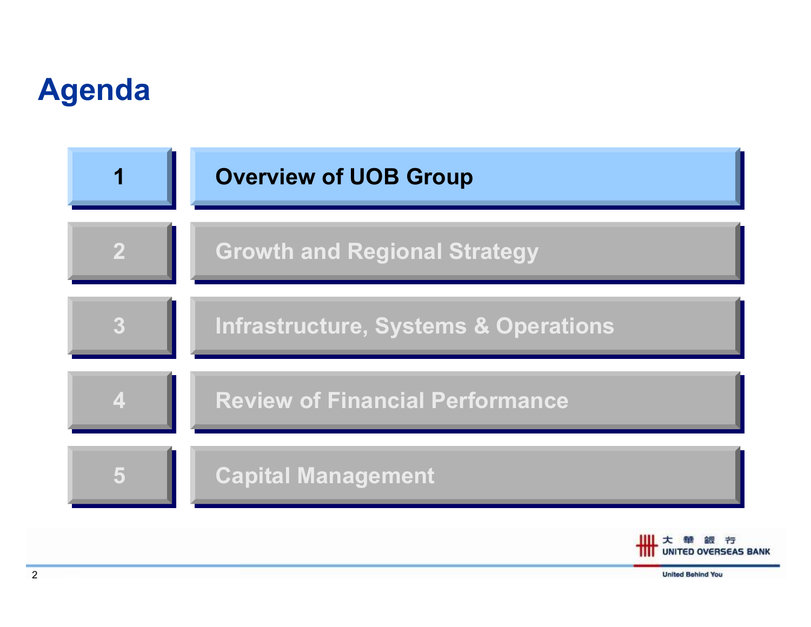#### Agenda





**United Behind You**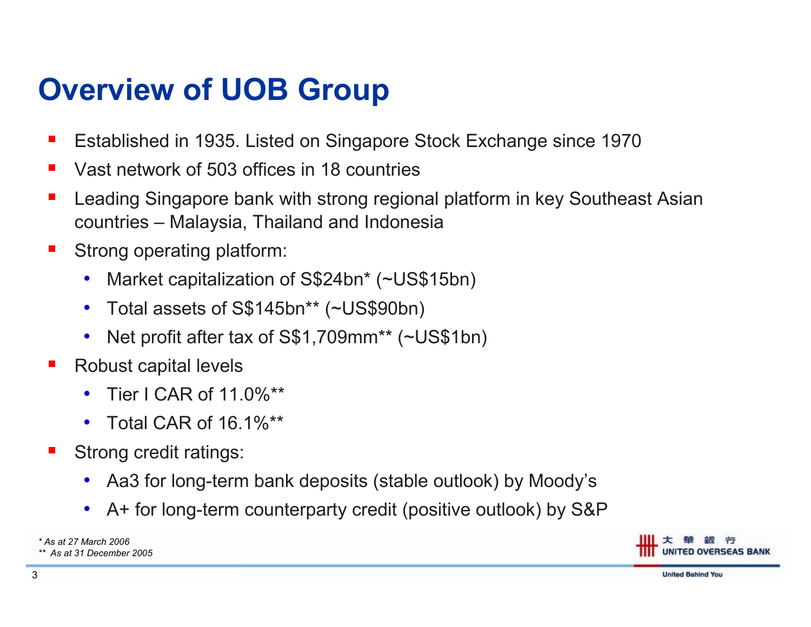### Overview of UOB Group

- L. Established in 1935. Listed on Singapore Stock Exchange since 1970
- $\mathcal{L}_{\mathcal{A}}$ Vast network of 503 offices in 18 countries
- b. Leading Singapore bank with strong regional platform in key Southeast Asian countries – Malaysia, Thailand and Indonesia
- $\mathbb{R}^n$  Strong operating platform:
	- $\bullet$ Market capitalization of S\$24bn\* (~US\$15bn)
	- $\bullet$ Total assets of S\$145bn\*\* (~US\$90bn)
	- $\bullet$ Net profit after tax of S\$1,709mm\*\* (~US\$1bn)
- F Robust capital levels
	- •Tier I CAR of 11.0%\*\*
	- Total CAR of  $16.1\%$ \*\*
- F Strong credit ratings:
	- •Aa3 for long-term bank deposits (stable outlook) by Moody's
	- $\bullet$ A+ for long-term counterparty credit (positive outlook) by S&P

\* As at 27 March 2006\*\* As at 31 December 2005

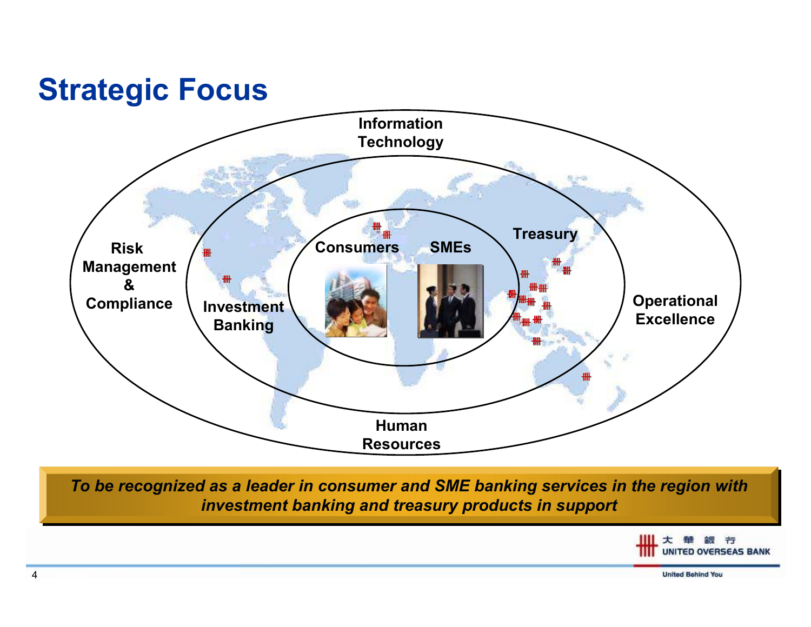#### Strategic Focus



To be recognized as a leader in consumer and SME banking services in the region with investment banking and treasury products in support

> 大華銀行 **UNITED OVERSEAS BANK**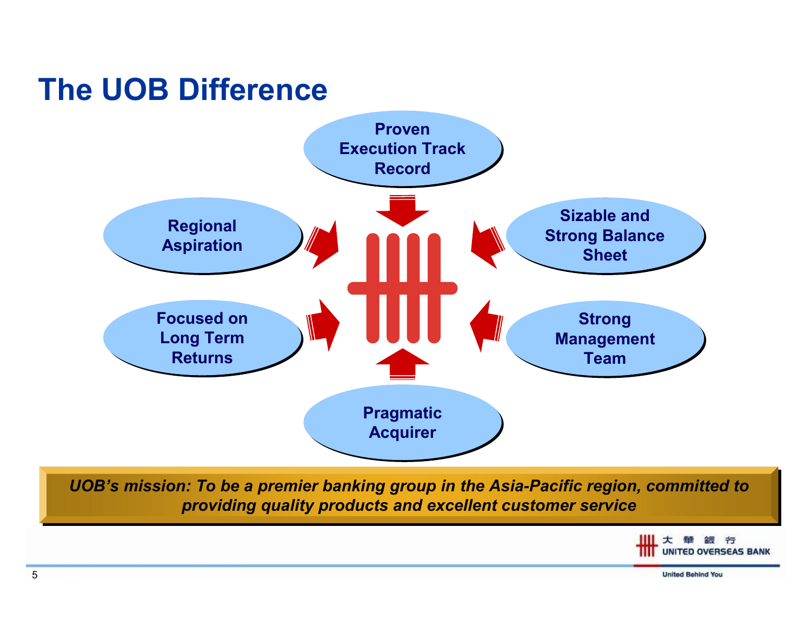#### The UOB Difference



UOB's mission: To be a premier banking group in the Asia-Pacific region, committed to providing quality products and excellent customer service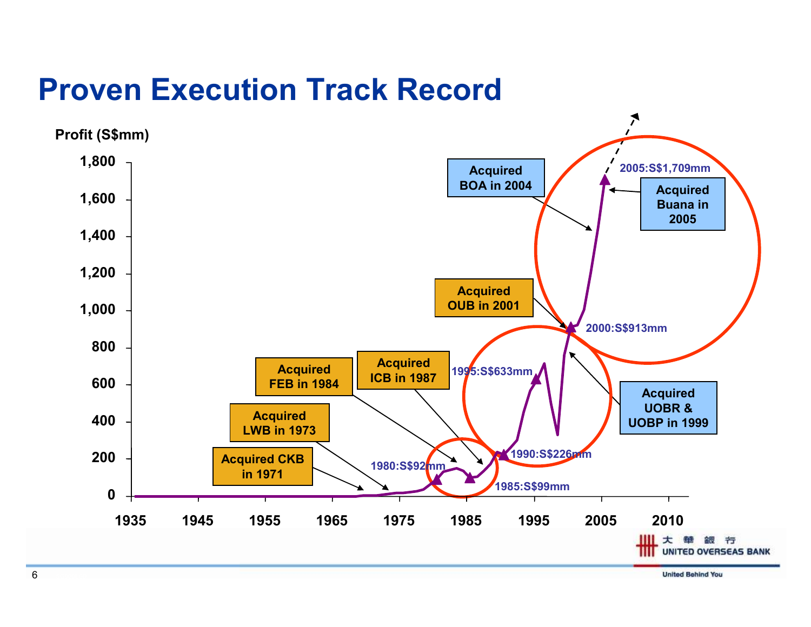#### Proven Execution Track Record

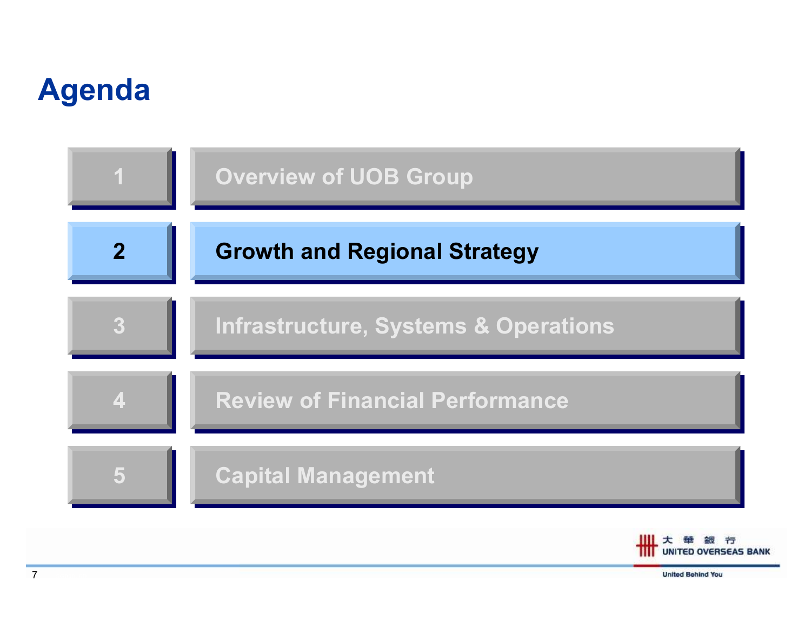### Agenda



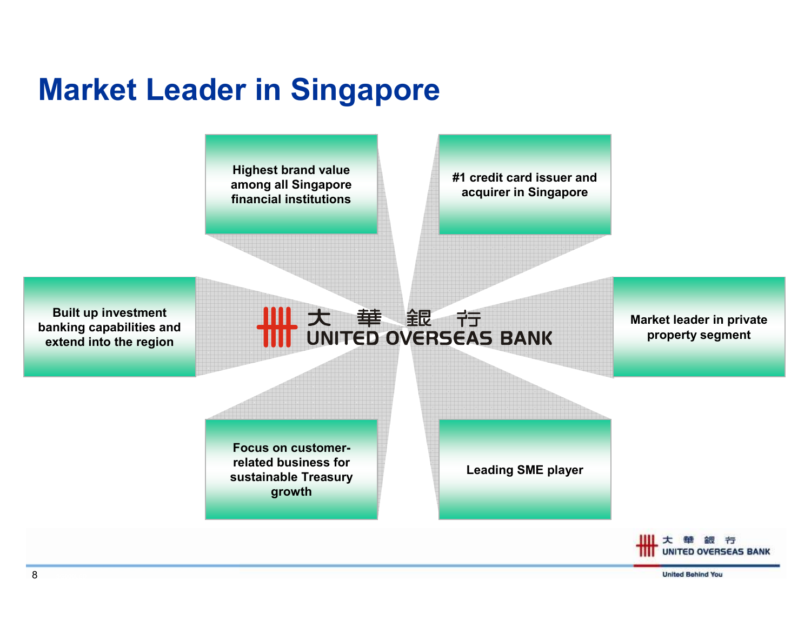### Market Leader in Singapore

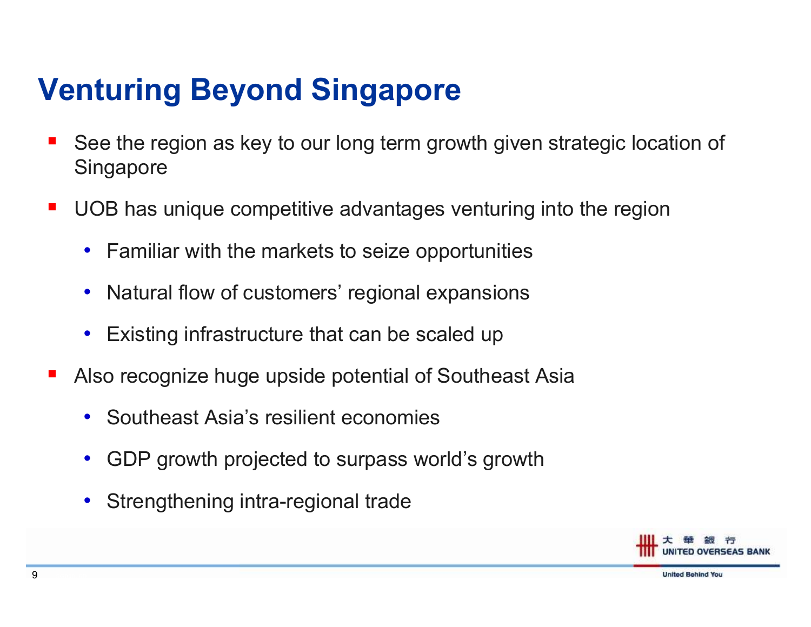## Venturing Beyond Singapore

- See the region as key to our long term growth given strategic location of **Singapore**
- $\mathcal{L}_{\mathcal{A}}$  UOB has unique competitive advantages venturing into the region
	- $\bullet$ Familiar with the markets to seize opportunities
	- $\bullet$ Natural flow of customers' regional expansions
	- $\bullet$ Existing infrastructure that can be scaled up
- Also recognize huge upside potential of Southeast Asia
	- $\bullet$ Southeast Asia's resilient economies
	- $\bullet$ GDP growth projected to surpass world's growth
	- $\bullet$ Strengthening intra-regional trade

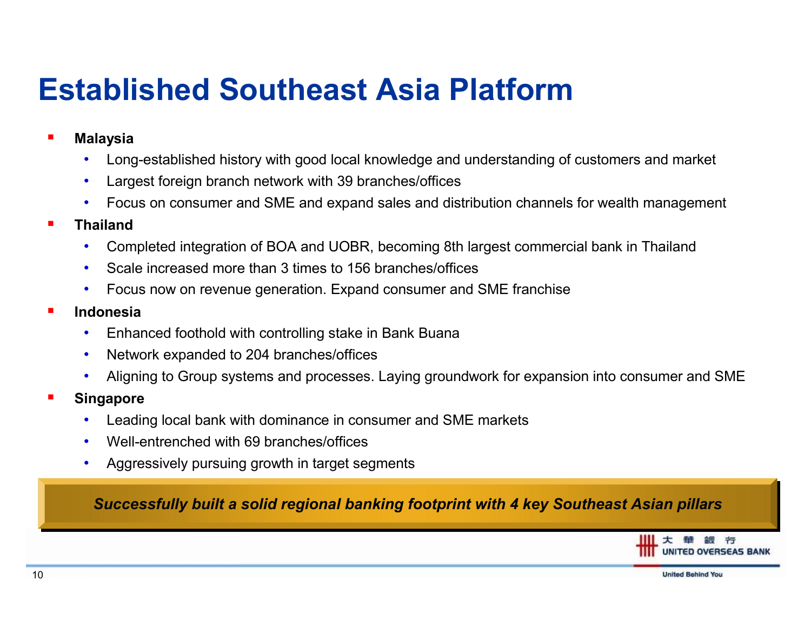### Established Southeast Asia Platform

- Malaysia
	- •Long-established history with good local knowledge and understanding of customers and market
	- •Largest foreign branch network with 39 branches/offices
	- •Focus on consumer and SME and expand sales and distribution channels for wealth management
- Thailand
	- Completed integration of BOA and UOBR, becoming 8th largest commercial bank in Thailand•
	- •Scale increased more than 3 times to 156 branches/offices
	- •Focus now on revenue generation. Expand consumer and SME franchise
- Indonesia
	- •Enhanced foothold with controlling stake in Bank Buana
	- •Network expanded to 204 branches/offices
	- •Aligning to Group systems and processes. Laying groundwork for expansion into consumer and SME
- Singapore
	- •Leading local bank with dominance in consumer and SME markets
	- •Well-entrenched with 69 branches/offices
	- •Aggressively pursuing growth in target segments

#### Successfully built a solid regional banking footprint with 4 key Southeast Asian pillars

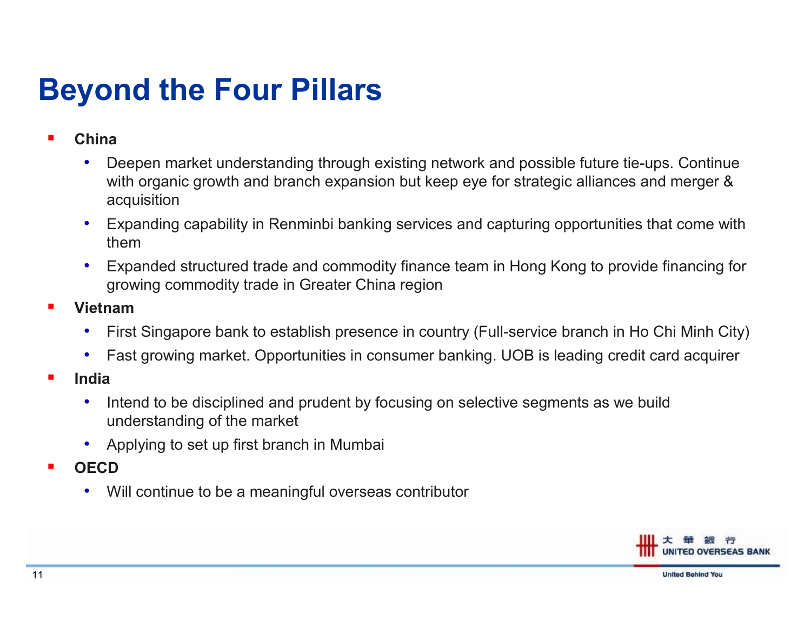### Beyond the Four Pillars

- ш China
	- • Deepen market understanding through existing network and possible future tie-ups. Continue with organic growth and branch expansion but keep eye for strategic alliances and merger & acquisition
	- $\bullet$  Expanding capability in Renminbi banking services and capturing opportunities that come with them
	- Expanded structured trade and commodity finance team in Hong Kong to provide financing for •growing commodity trade in Greater China region
- Vietnam
	- First Singapore bank to establish presence in country (Full-service branch in Ho Chi Minh City) •
	- •Fast growing market. Opportunities in consumer banking. UOB is leading credit card acquirer
- П India
	- • Intend to be disciplined and prudent by focusing on selective segments as we build understanding of the market
	- •Applying to set up first branch in Mumbai
- П **OFCD** 
	- $\bullet$ Will continue to be a meaningful overseas contributor

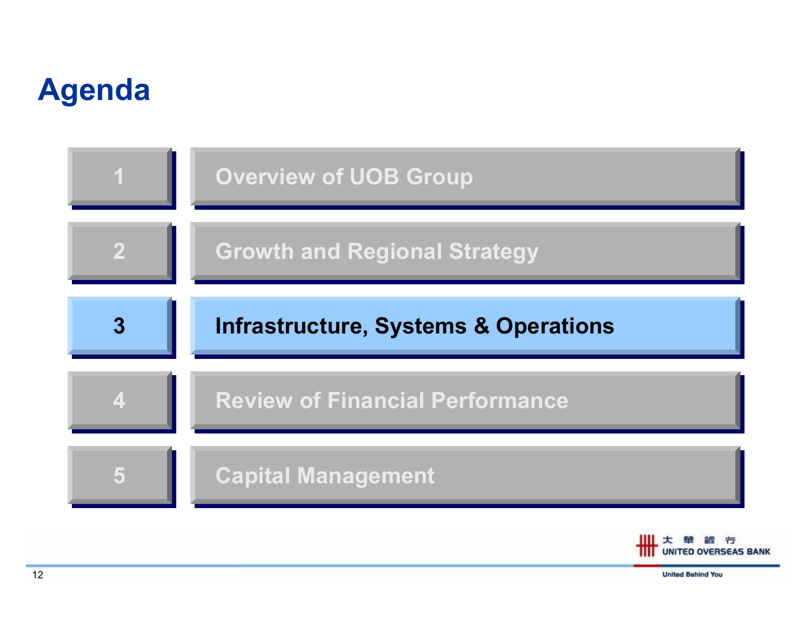### Agenda



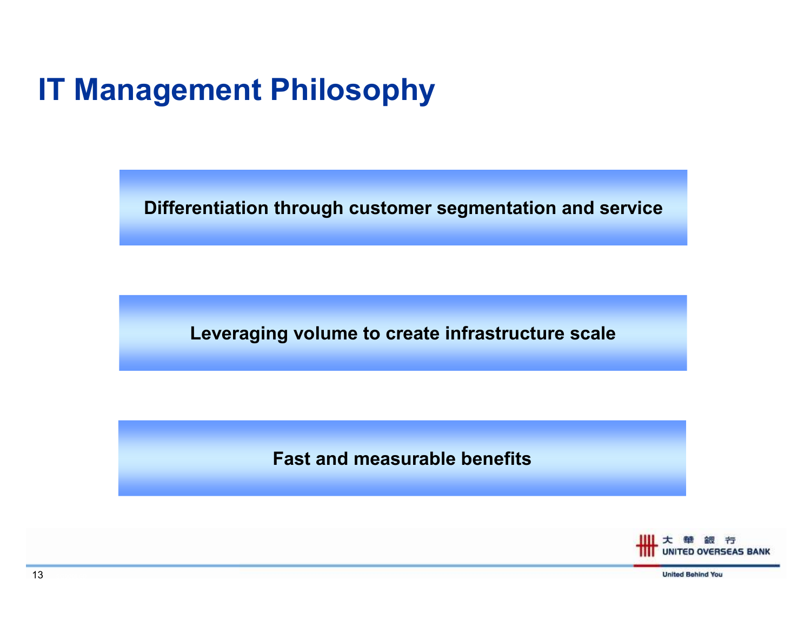#### IT Management Philosophy

Differentiation through customer segmentation and service

Leveraging volume to create infrastructure scale

Fast and measurable benefits

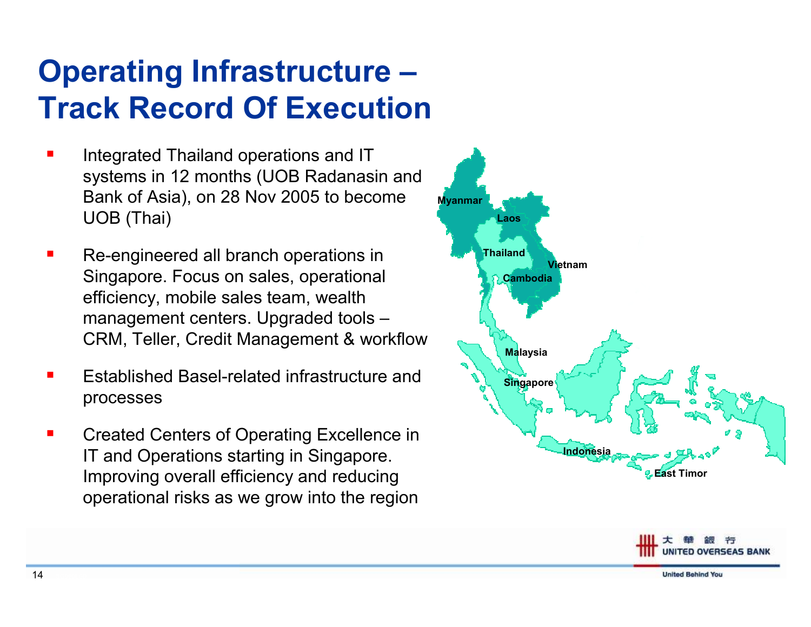## Operating Infrastructure –Track Record Of Execution

- **CONTRACTOR**  Integrated Thailand operations and IT systems in 12 months (UOB Radanasin and Bank of Asia), on 28 Nov 2005 to become UOB (Thai)
- Re-engineered all branch operations in Singapore. Focus on sales, operational efficiency, mobile sales team, wealth management centers. Upgraded tools –CRM, Teller, Credit Management & workflow
- Established Basel-related infrastructure and processes
- $\blacksquare$  Created Centers of Operating Excellence in IT and Operations starting in Singapore. Improving overall efficiency and reducing operational risks as we grow into the region





UNITED OVERSEAS BANK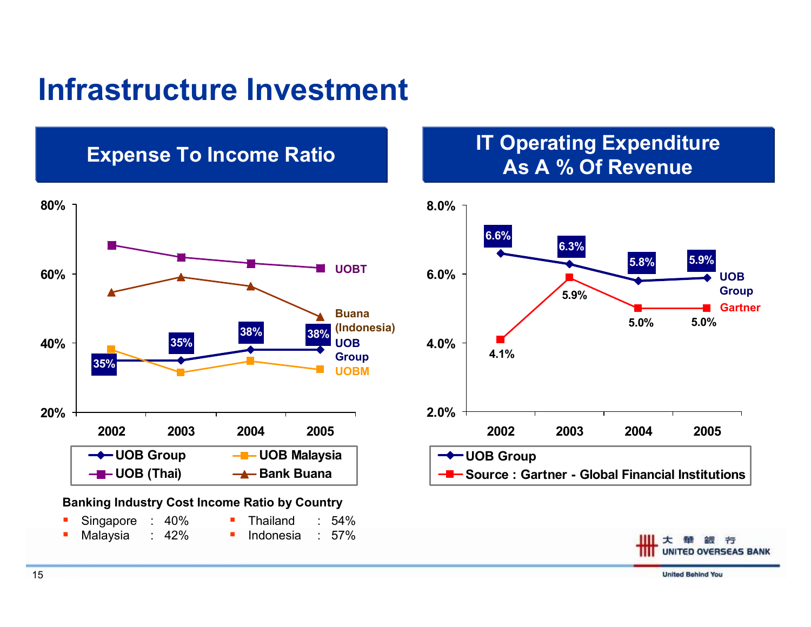#### Infrastructure Investment

#### Expense To Income Ratio



#### Banking Industry Cost Income Ratio by Country

| Singapore : 40% |  | ■ Thailand      | $\therefore$ 54% |
|-----------------|--|-----------------|------------------|
| Malaysia : 42%  |  | Indonesia : 57% |                  |

# **IT Operating Expenditure<br>As A % Of Revenue**



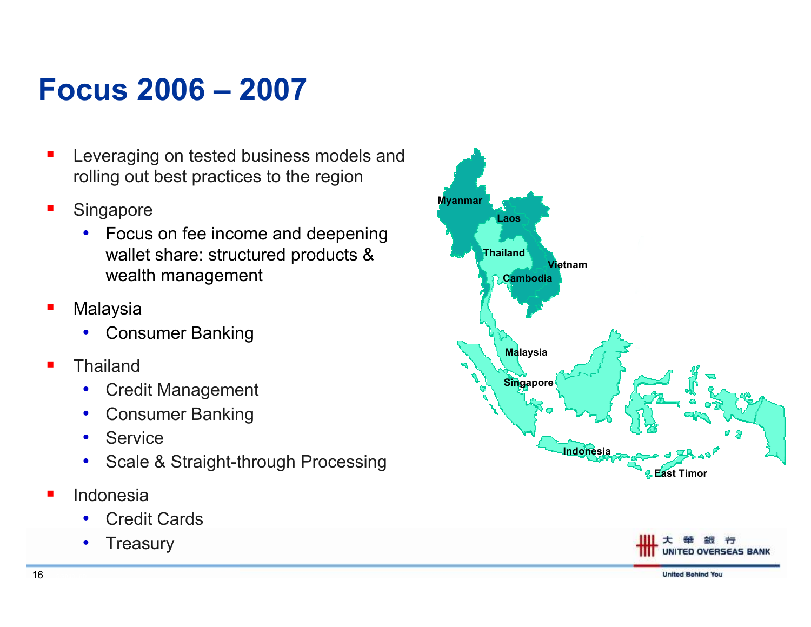#### Focus 2006 – <sup>2007</sup>

- **Service Service**  Leveraging on tested business models and rolling out best practices to the region
- $\blacksquare$ **Singapore** 
	- Focus on fee income and deepening wallet share: structured products & wealth management
- П Malaysia
	- Consumer Banking•
- $\blacksquare$ **Thailand** 
	- Credit Management •
	- •Consumer Banking
	- •Service
	- Scale & Straight-through Processing •
- **Service Service**  Indonesia
	- Credit Cards •
	- $\bullet$ **Treasury**



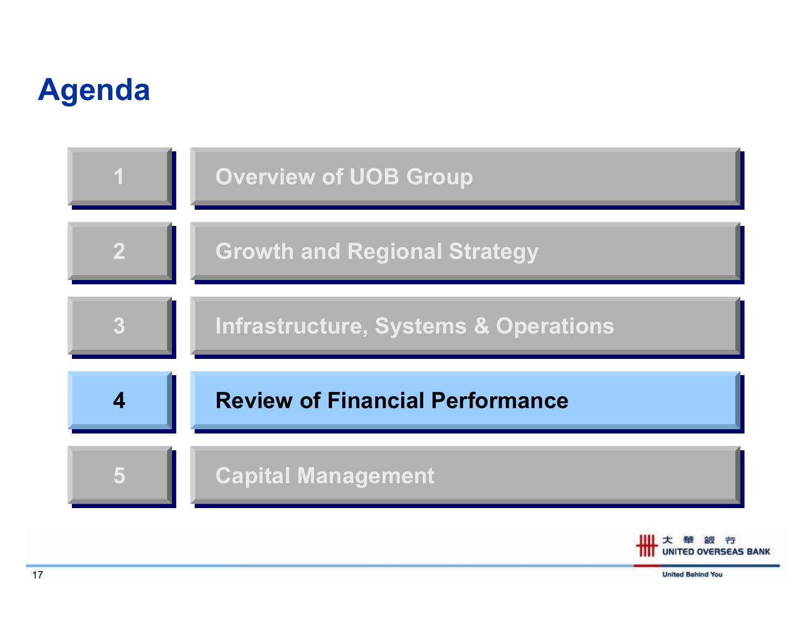### Agenda



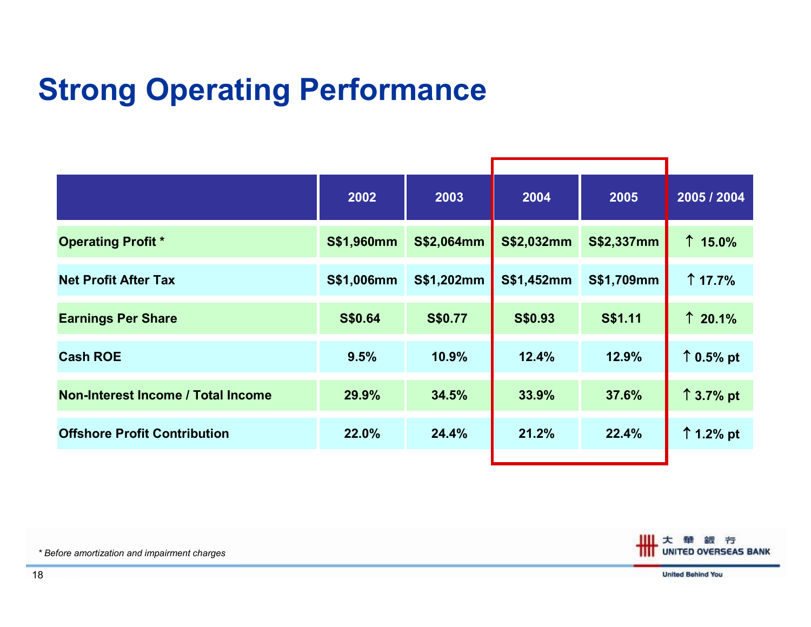## Strong Operating Performance

|                                     | 2002       | 2003       | 2004              | 2005              | 2005 / 2004        |  |
|-------------------------------------|------------|------------|-------------------|-------------------|--------------------|--|
| <b>Operating Profit *</b>           | S\$1,960mm | S\$2,064mm | <b>S\$2,032mm</b> | <b>S\$2,337mm</b> | $\uparrow$ 15.0%   |  |
| <b>Net Profit After Tax</b>         | S\$1,006mm | S\$1,202mm | S\$1,452mm        | S\$1,709mm        | $\uparrow$ 17.7%   |  |
| <b>Earnings Per Share</b>           | S\$0.64    | S\$0.77    | S\$0.93           | <b>S\$1.11</b>    | $\uparrow$ 20.1%   |  |
| <b>Cash ROE</b>                     | 9.5%       | 10.9%      | 12.4%             | 12.9%             | $\uparrow$ 0.5% pt |  |
| Non-Interest Income / Total Income  | 29.9%      | 34.5%      | 33.9%             | 37.6%             | $\uparrow$ 3.7% pt |  |
| <b>Offshore Profit Contribution</b> | 22.0%      | 24.4%      | 21.2%             | 22.4%             | $\uparrow$ 1.2% pt |  |
|                                     |            |            |                   |                   |                    |  |



\* Before amortization and impairment charges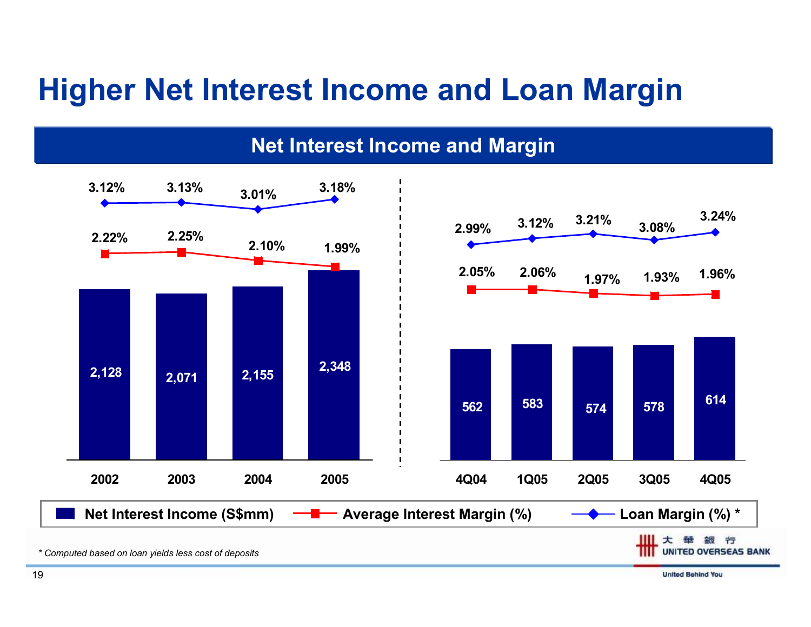#### Higher Net Interest Income and Loan Margin



**United Behind You** 

Net Interest Income and Margin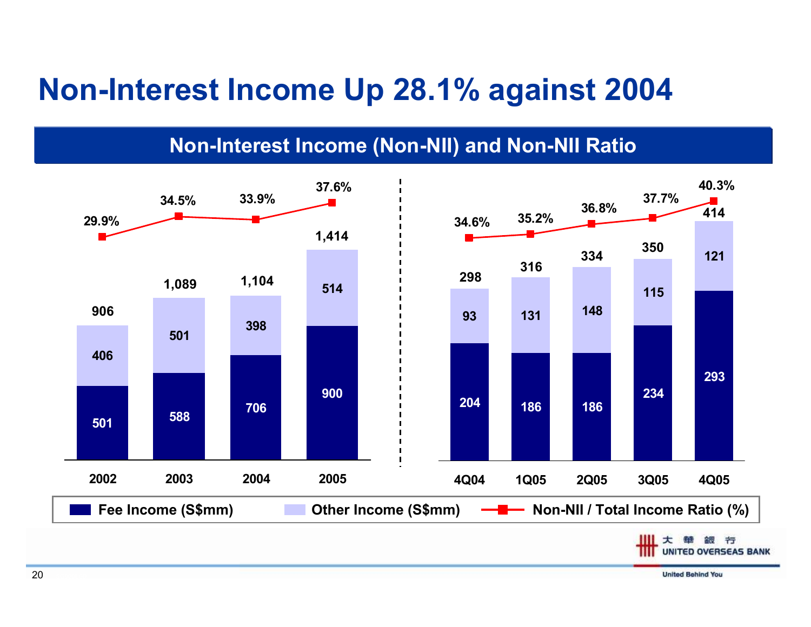#### Non-Interest Income Up 28.1% against 2004

Non-Interest Income (Non-NII) and Non-NII Ratio

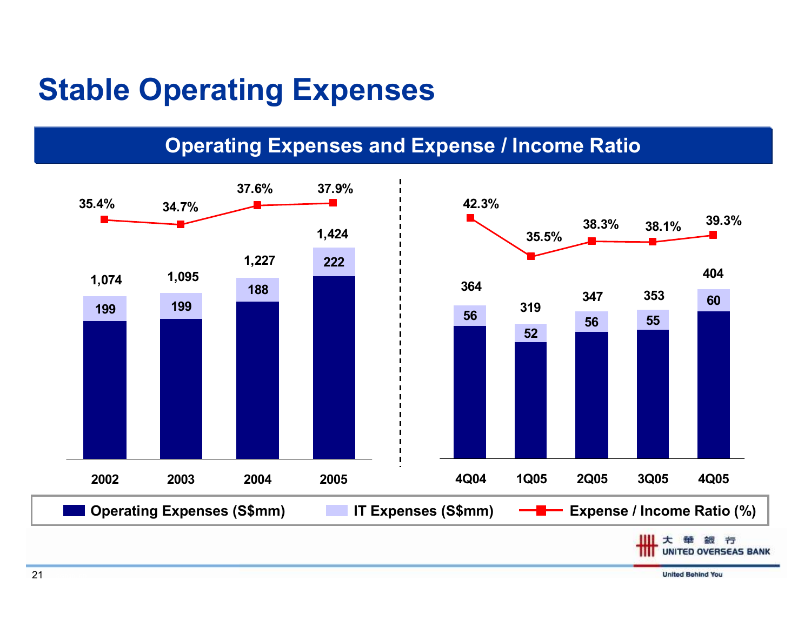#### Stable Operating Expenses

#### Operating Expenses and Expense / Income Ratio

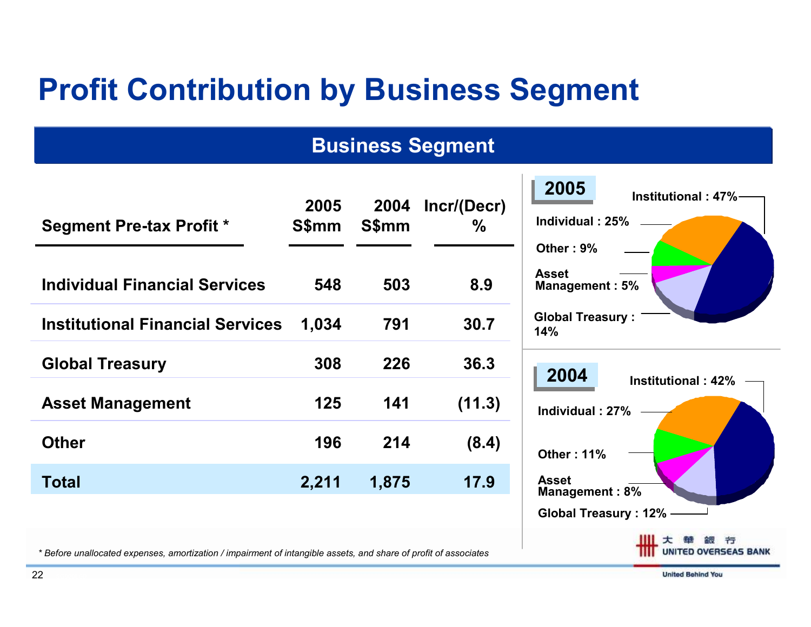### Profit Contribution by Business Segment

#### Business Segment

 $\mathbb{R}^n$ 

| <b>Segment Pre-tax Profit *</b>         | 2005<br>S\$mm | 2004<br>S\$mm | Incr/(Decr)<br>$\%$ | 2005<br>Institutional: 47%-<br>Individual: 25%<br>Other: 9% |
|-----------------------------------------|---------------|---------------|---------------------|-------------------------------------------------------------|
| <b>Individual Financial Services</b>    | 548           | 503           | 8.9                 | <b>Asset</b><br>Management: 5%                              |
| <b>Institutional Financial Services</b> | 1,034         | 791           | 30.7                | <b>Global Treasury:</b><br>14%                              |
| <b>Global Treasury</b>                  | 308           | 226           | 36.3                | 2004<br>Institutional: 42%                                  |
| <b>Asset Management</b>                 | 125           | 141           | (11.3)              | Individual: 27%                                             |
| <b>Other</b>                            | 196           | 214           | (8.4)               | <b>Other: 11%</b>                                           |
| <b>Total</b>                            | 2,211         | 1,875         | 17.9                | <b>Asset</b><br>Management: 8%                              |
|                                         |               |               |                     | Global Treasury: 12% -                                      |

\* Before unallocated expenses, amortization / impairment of intangible assets, and share of profit of associates

医甲基

銀行

**UNITED OVERSEAS BANK**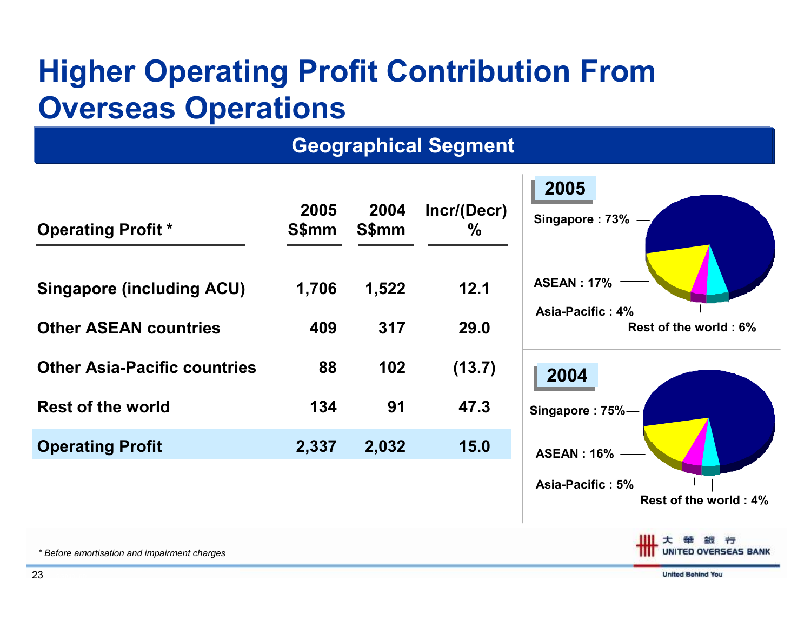## Higher Operating Profit Contribution From Overseas Operations

#### **Geographical Segment**

| <b>Operating Profit *</b>           | 2005<br><b>S\$mm</b> | 2004<br>S\$mm | Incr/(Decr)<br>$\frac{0}{0}$ |
|-------------------------------------|----------------------|---------------|------------------------------|
| <b>Singapore (including ACU)</b>    | 1,706                | 1,522         | 12.1                         |
| <b>Other ASEAN countries</b>        | 409                  | 317           | 29.0                         |
| <b>Other Asia-Pacific countries</b> | 88                   | 102           | (13.7)                       |
| <b>Rest of the world</b>            | 134                  | 91            | 47.3                         |
| <b>Operating Profit</b>             | 2,337                | 2,032         | 15.0                         |



**UNITED OVERSEAS BANK**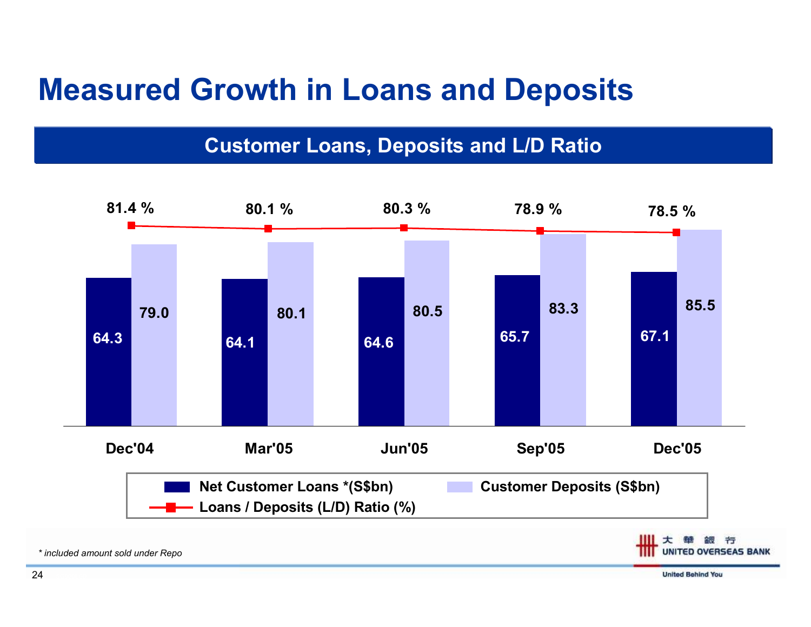#### Measured Growth in Loans and Deposits

Customer Loans, Deposits and L/D Ratio



\* included amount sold under Repo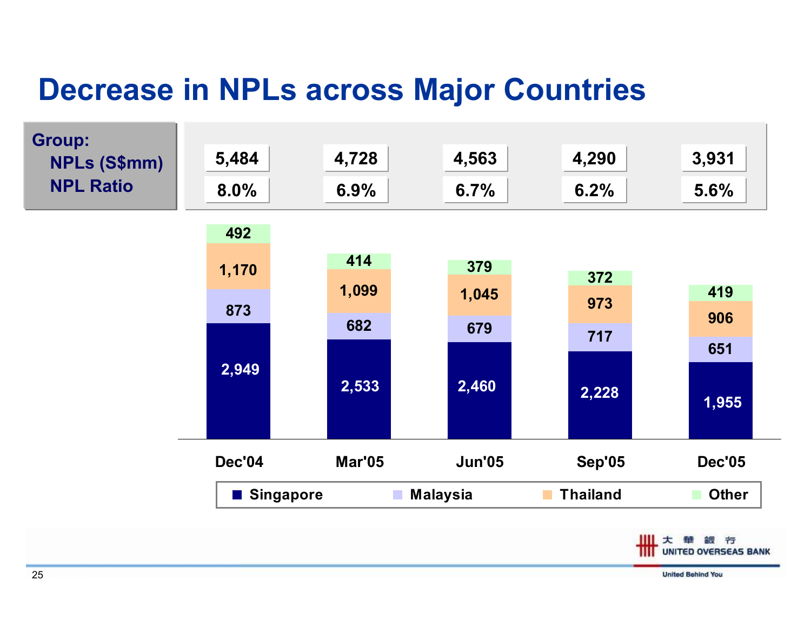#### Decrease in NPLs across Major Countries



**United Behind You**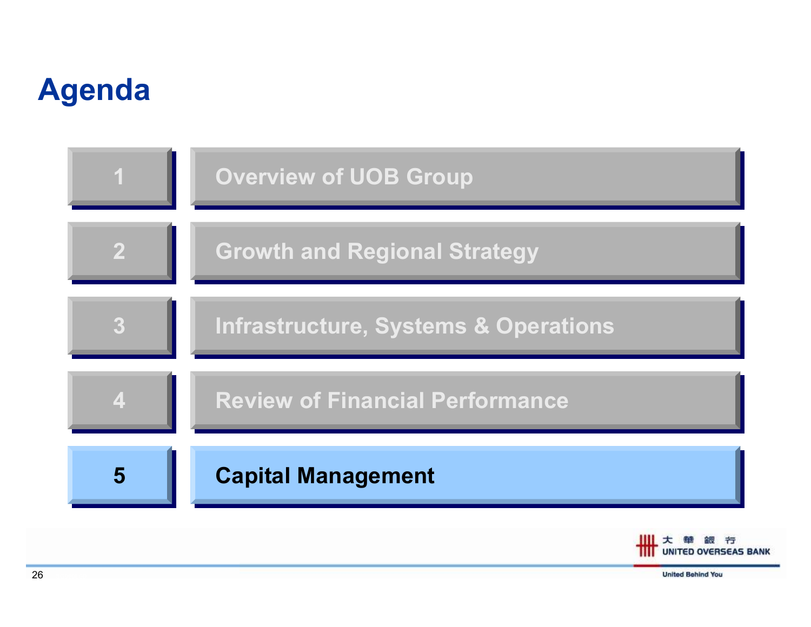### Agenda



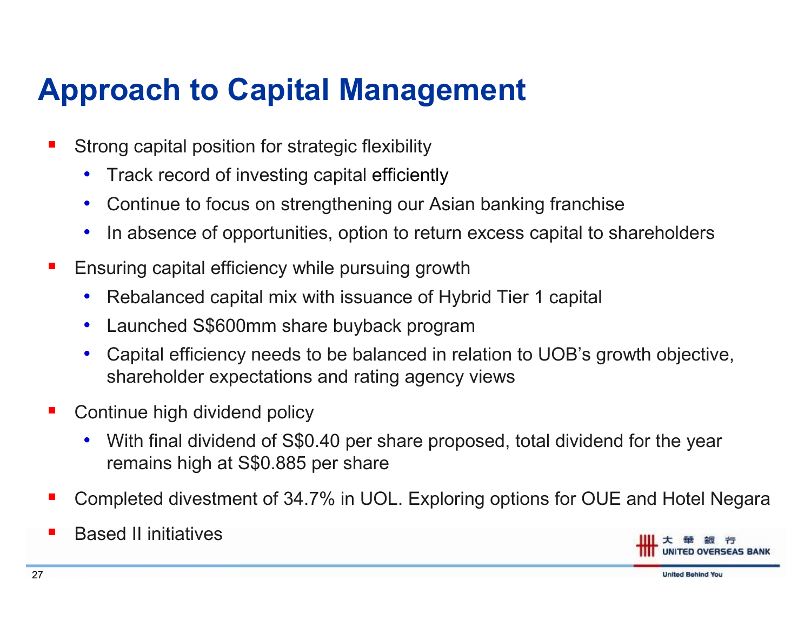### Approach to Capital Management

- b. Strong capital position for strategic flexibility
	- $\bullet$ Track record of investing capital efficiently
	- $\bullet$ Continue to focus on strengthening our Asian banking franchise
	- $\bullet$ In absence of opportunities, option to return excess capital to shareholders
- F Ensuring capital efficiency while pursuing growth
	- $\bullet$ Rebalanced capital mix with issuance of Hybrid Tier 1 capital
	- $\bullet$ Launched S\$600mm share buyback program
	- Capital efficiency needs to be balanced in relation to UOB's growth objective,  $\bullet$ shareholder expectations and rating agency views
- F Continue high dividend policy
	- $\bullet$  With final dividend of S\$0.40 per share proposed, total dividend for the year remains high at S\$0.885 per share
- F Completed divestment of 34.7% in UOL. Exploring options for OUE and Hotel Negara
- F Based II initiatives



**United Behind You**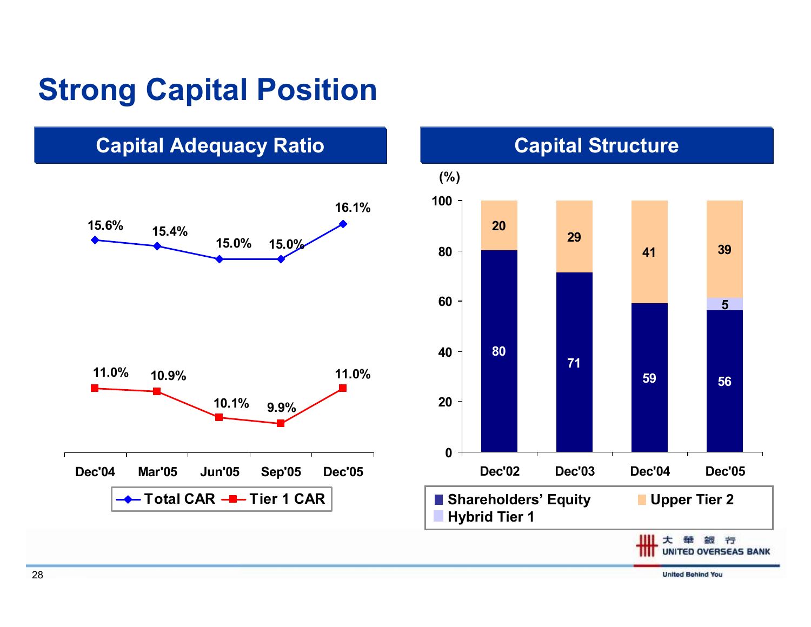### Strong Capital Position